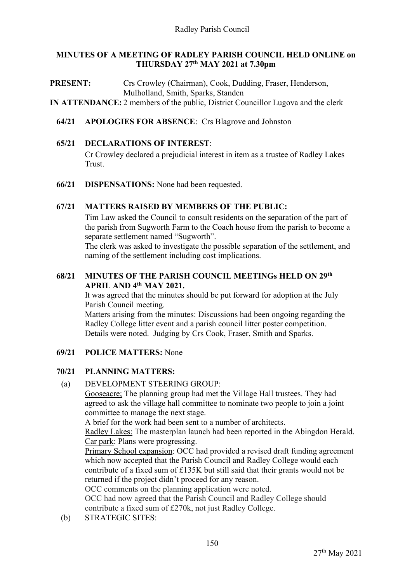## **MINUTES OF A MEETING OF RADLEY PARISH COUNCIL HELD ONLINE on THURSDAY 27th MAY 2021 at 7.30pm**

PRESENT: Crs Crowley (Chairman), Cook, Dudding, Fraser, Henderson, Mulholland, Smith, Sparks, Standen **IN ATTENDANCE:** 2 members of the public, District Councillor Lugova and the clerk

**64/21 APOLOGIES FOR ABSENCE**: Crs Blagrove and Johnston

### **65/21 DECLARATIONS OF INTEREST**:

Cr Crowley declared a prejudicial interest in item as a trustee of Radley Lakes Trust.

**66/21 DISPENSATIONS:** None had been requested.

### **67/21 MATTERS RAISED BY MEMBERS OF THE PUBLIC:**

Tim Law asked the Council to consult residents on the separation of the part of the parish from Sugworth Farm to the Coach house from the parish to become a separate settlement named "Sugworth".

The clerk was asked to investigate the possible separation of the settlement, and naming of the settlement including cost implications.

## **68/21 MINUTES OF THE PARISH COUNCIL MEETINGs HELD ON 29th APRIL AND 4th MAY 2021.**

It was agreed that the minutes should be put forward for adoption at the July Parish Council meeting.

Matters arising from the minutes: Discussions had been ongoing regarding the Radley College litter event and a parish council litter poster competition. Details were noted. Judging by Crs Cook, Fraser, Smith and Sparks.

## **69/21 POLICE MATTERS:** None

## **70/21 PLANNING MATTERS:**

(a) DEVELOPMENT STEERING GROUP:

Gooseacre; The planning group had met the Village Hall trustees. They had agreed to ask the village hall committee to nominate two people to join a joint committee to manage the next stage.

A brief for the work had been sent to a number of architects.

Radley Lakes: The masterplan launch had been reported in the Abingdon Herald. Car park: Plans were progressing.

Primary School expansion: OCC had provided a revised draft funding agreement which now accepted that the Parish Council and Radley College would each contribute of a fixed sum of £135K but still said that their grants would not be returned if the project didn't proceed for any reason.

OCC comments on the planning application were noted.

OCC had now agreed that the Parish Council and Radley College should contribute a fixed sum of £270k, not just Radley College.

(b) STRATEGIC SITES: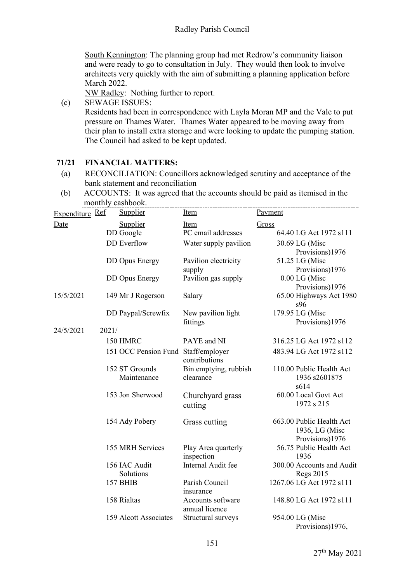South Kennington: The planning group had met Redrow's community liaison and were ready to go to consultation in July. They would then look to involve architects very quickly with the aim of submitting a planning application before March 2022.

NW Radley: Nothing further to report.

(c) SEWAGE ISSUES: Residents had been in correspondence with Layla Moran MP and the Vale to put pressure on Thames Water. Thames Water appeared to be moving away from their plan to install extra storage and were looking to update the pumping station. The Council had asked to be kept updated.

## **71/21 FINANCIAL MATTERS:**

- (a) RECONCILIATION: Councillors acknowledged scrutiny and acceptance of the bank statement and reconciliation
- (b) ACCOUNTS: It was agreed that the accounts should be paid as itemised in the monthly cashbook.

| Expenditure Ref |       | Supplier                            | <b>Item</b>                         | Payment                                       |
|-----------------|-------|-------------------------------------|-------------------------------------|-----------------------------------------------|
| Date            |       | Supplier                            | Item                                | Gross                                         |
|                 |       | DD Google                           | PC email addresses                  | 64.40 LG Act 1972 s111                        |
|                 |       | <b>DD</b> Everflow                  | Water supply pavilion               | 30.69 LG (Misc                                |
|                 |       |                                     |                                     | Provisions)1976                               |
|                 |       | <b>DD</b> Opus Energy               | Pavilion electricity                | 51.25 LG (Misc                                |
|                 |       |                                     | supply                              | Provisions)1976                               |
|                 |       | <b>DD</b> Opus Energy               | Pavilion gas supply                 | 0.00 LG (Misc                                 |
|                 |       |                                     |                                     | Provisions)1976                               |
| 15/5/2021       |       | 149 Mr J Rogerson                   | Salary                              | 65.00 Highways Act 1980<br>s96                |
|                 |       | DD Paypal/Screwfix                  | New pavilion light                  | 179.95 LG (Misc                               |
|                 |       |                                     | fittings                            | Provisions)1976                               |
| 24/5/2021       | 2021/ |                                     |                                     |                                               |
|                 |       | 150 HMRC                            | PAYE and NI                         | 316.25 LG Act 1972 s112                       |
|                 |       | 151 OCC Pension Fund Staff/employer | contributions                       | 483.94 LG Act 1972 s112                       |
|                 |       | 152 ST Grounds                      | Bin emptying, rubbish               | 110.00 Public Health Act                      |
|                 |       | Maintenance                         | clearance                           | 1936 s2601875<br>s614                         |
|                 |       | 153 Jon Sherwood                    | Churchyard grass                    | 60.00 Local Govt Act                          |
|                 |       |                                     | cutting                             | 1972 s 215                                    |
|                 |       | 154 Ady Pobery                      | Grass cutting                       | 663.00 Public Health Act                      |
|                 |       |                                     |                                     | 1936, LG (Misc                                |
|                 |       |                                     |                                     | Provisions)1976                               |
|                 |       | 155 MRH Services                    | Play Area quarterly                 | 56.75 Public Health Act                       |
|                 |       |                                     | inspection                          | 1936                                          |
|                 |       | 156 IAC Audit<br>Solutions          | Internal Audit fee                  | 300.00 Accounts and Audit<br><b>Regs 2015</b> |
|                 |       | <b>157 BHIB</b>                     | Parish Council                      | 1267.06 LG Act 1972 s111                      |
|                 |       |                                     | insurance                           |                                               |
|                 |       | 158 Rialtas                         | Accounts software<br>annual licence | 148.80 LG Act 1972 s111                       |
|                 |       | 159 Alcott Associates               | Structural surveys                  | 954.00 LG (Misc                               |
|                 |       |                                     |                                     | Provisions)1976,                              |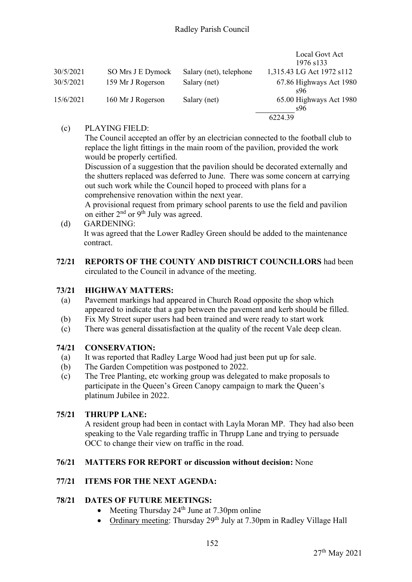|           |                   |                         | Local Govt Act                 |
|-----------|-------------------|-------------------------|--------------------------------|
|           |                   |                         | 1976 s133                      |
| 30/5/2021 | SO Mrs J E Dymock | Salary (net), telephone | 1,315.43 LG Act 1972 s112      |
| 30/5/2021 | 159 Mr J Rogerson | Salary (net)            | 67.86 Highways Act 1980<br>s96 |
| 15/6/2021 | 160 Mr J Rogerson | Salary (net)            | 65.00 Highways Act 1980<br>s96 |
|           |                   |                         | 6224.39                        |

# (c) PLAYING FIELD:

The Council accepted an offer by an electrician connected to the football club to replace the light fittings in the main room of the pavilion, provided the work would be properly certified.

Discussion of a suggestion that the pavilion should be decorated externally and the shutters replaced was deferred to June. There was some concern at carrying out such work while the Council hoped to proceed with plans for a comprehensive renovation within the next year.

A provisional request from primary school parents to use the field and pavilion on either 2<sup>nd</sup> or 9<sup>th</sup> July was agreed.

- (d) GARDENING: It was agreed that the Lower Radley Green should be added to the maintenance contract.
- **72/21 REPORTS OF THE COUNTY AND DISTRICT COUNCILLORS** had been circulated to the Council in advance of the meeting.

# **73/21 HIGHWAY MATTERS:**

- (a) Pavement markings had appeared in Church Road opposite the shop which appeared to indicate that a gap between the pavement and kerb should be filled.
- (b) Fix My Street super users had been trained and were ready to start work
- (c) There was general dissatisfaction at the quality of the recent Vale deep clean.

# **74/21 CONSERVATION:**

- (a) It was reported that Radley Large Wood had just been put up for sale.
- (b) The Garden Competition was postponed to 2022.
- (c) The Tree Planting, etc working group was delegated to make proposals to participate in the Queen's Green Canopy campaign to mark the Queen's platinum Jubilee in 2022.

# **75/21 THRUPP LANE:**

A resident group had been in contact with Layla Moran MP. They had also been speaking to the Vale regarding traffic in Thrupp Lane and trying to persuade OCC to change their view on traffic in the road.

# **76/21 MATTERS FOR REPORT or discussion without decision:** None

# **77/21 ITEMS FOR THE NEXT AGENDA:**

# **78/21 DATES OF FUTURE MEETINGS:**

- Meeting Thursday  $24<sup>th</sup>$  June at 7.30pm online
- Ordinary meeting: Thursday 29<sup>th</sup> July at 7.30pm in Radley Village Hall